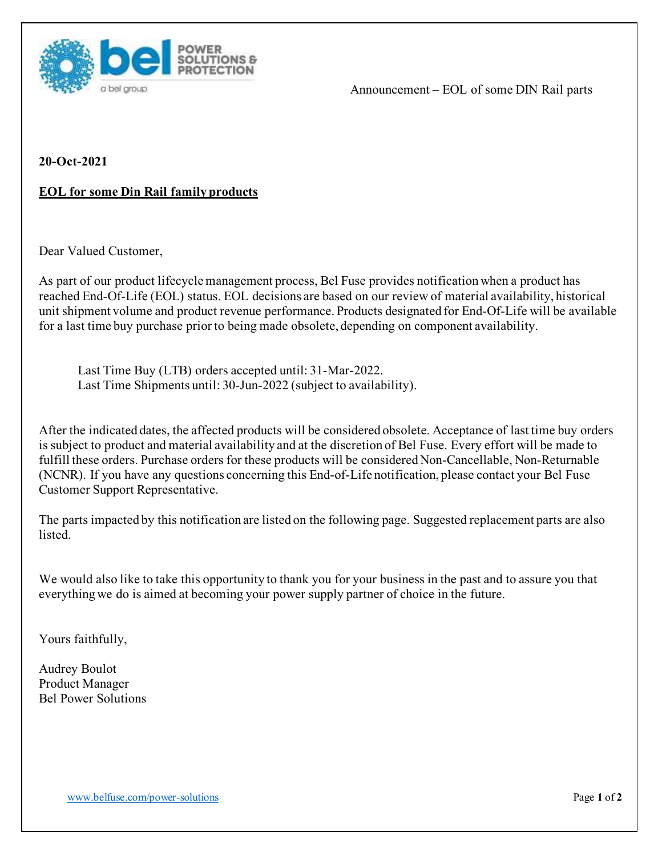

Announcement – EOL of some DIN Rail parts

**20-Oct-2021**

## **EOL for some Din Rail family products**

Dear Valued Customer,

As part of our product lifecycle management process, Bel Fuse provides notification when a product has reached End‐Of‐Life (EOL) status. EOL decisions are based on our review of material availability, historical unit shipment volume and product revenue performance. Products designated for End‐Of‐Life will be available for a last time buy purchase prior to being made obsolete, depending on component availability.

Last Time Buy (LTB) orders accepted until: 31-Mar-2022. Last Time Shipments until: 30-Jun-2022 (subject to availability).

After the indicated dates, the affected products will be considered obsolete. Acceptance of last time buy orders is subject to product and material availability and at the discretion of Bel Fuse. Every effort will be made to fulfill these orders. Purchase orders for these products will be considered Non‐Cancellable, Non‐Returnable (NCNR). If you have any questions concerning this End‐of‐Life notification, please contact your Bel Fuse Customer Support Representative.

The parts impacted by this notification are listed on the following page. Suggested replacement parts are also listed.

We would also like to take this opportunity to thank you for your business in the past and to assure you that everything we do is aimed at becoming your power supply partner of choice in the future.

Yours faithfully,

Audrey Boulot Product Manager Bel Power Solutions